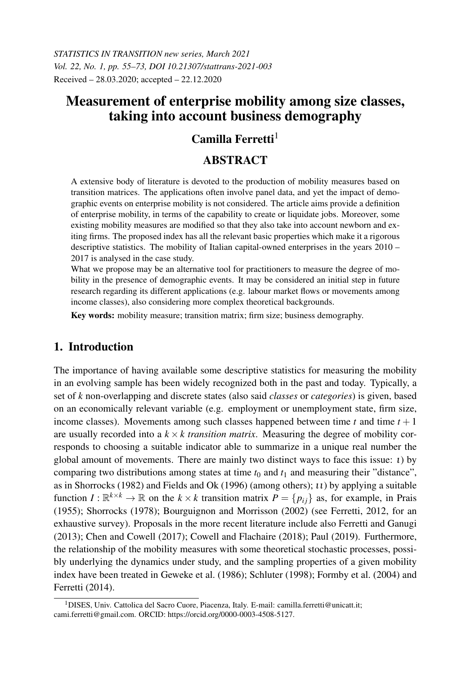*STATISTICS IN TRANSITION new series, March 2021 Vol. 22, No. 1, pp. 55–73, DOI 10.21307/stattrans-2021-003* Received – 28.03.2020; accepted – 22.12.2020

# Measurement of enterprise mobility among size classes, taking into account business demography

# Camilla Ferretti $<sup>1</sup>$ </sup>

# **ABSTRACT**

A extensive body of literature is devoted to the production of mobility measures based on transition matrices. The applications often involve panel data, and yet the impact of demographic events on enterprise mobility is not considered. The article aims provide a definition of enterprise mobility, in terms of the capability to create or liquidate jobs. Moreover, some existing mobility measures are modified so that they also take into account newborn and exiting firms. The proposed index has all the relevant basic properties which make it a rigorous descriptive statistics. The mobility of Italian capital-owned enterprises in the years 2010 – 2017 is analysed in the case study.

What we propose may be an alternative tool for practitioners to measure the degree of mobility in the presence of demographic events. It may be considered an initial step in future research regarding its different applications (e.g. labour market flows or movements among income classes), also considering more complex theoretical backgrounds.

Key words: mobility measure; transition matrix; firm size; business demography.

# 1. Introduction

The importance of having available some descriptive statistics for measuring the mobility in an evolving sample has been widely recognized both in the past and today. Typically, a set of *k* non-overlapping and discrete states (also said *classes* or *categories*) is given, based on an economically relevant variable (e.g. employment or unemployment state, firm size, income classes). Movements among such classes happened between time  $t$  and time  $t + 1$ are usually recorded into a  $k \times k$  *transition matrix*. Measuring the degree of mobility corresponds to choosing a suitable indicator able to summarize in a unique real number the global amount of movements. There are mainly two distinct ways to face this issue: ι) by comparing two distributions among states at time  $t_0$  and  $t_1$  and measuring their "distance", as in Shorrocks (1982) and Fields and Ok (1996) (among others);  $u$ ) by applying a suitable function  $I: \mathbb{R}^{k \times k} \to \mathbb{R}$  on the  $k \times k$  transition matrix  $P = \{p_{ij}\}\$ as, for example, in Prais (1955); Shorrocks (1978); Bourguignon and Morrisson (2002) (see Ferretti, 2012, for an exhaustive survey). Proposals in the more recent literature include also Ferretti and Ganugi (2013); Chen and Cowell (2017); Cowell and Flachaire (2018); Paul (2019). Furthermore, the relationship of the mobility measures with some theoretical stochastic processes, possibly underlying the dynamics under study, and the sampling properties of a given mobility index have been treated in Geweke et al. (1986); Schluter (1998); Formby et al. (2004) and Ferretti (2014).

<sup>&</sup>lt;sup>1</sup>DISES, Univ. Cattolica del Sacro Cuore, Piacenza, Italy. E-mail: camilla.ferretti@unicatt.it; cami.ferretti@gmail.com. ORCID: https://orcid.org/0000-0003-4508-5127.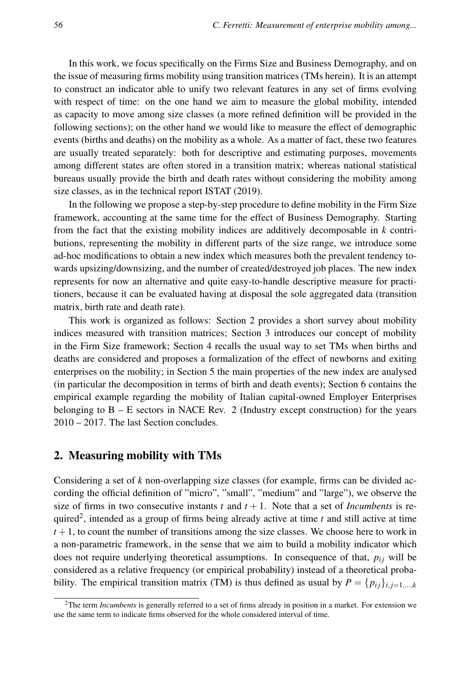In this work, we focus specifically on the Firms Size and Business Demography, and on the issue of measuring firms mobility using transition matrices (TMs herein). It is an attempt to construct an indicator able to unify two relevant features in any set of firms evolving with respect of time: on the one hand we aim to measure the global mobility, intended as capacity to move among size classes (a more refined definition will be provided in the following sections); on the other hand we would like to measure the effect of demographic events (births and deaths) on the mobility as a whole. As a matter of fact, these two features are usually treated separately: both for descriptive and estimating purposes, movements among different states are often stored in a transition matrix; whereas national statistical bureaus usually provide the birth and death rates without considering the mobility among size classes, as in the technical report ISTAT (2019).

In the following we propose a step-by-step procedure to define mobility in the Firm Size framework, accounting at the same time for the effect of Business Demography. Starting from the fact that the existing mobility indices are additively decomposable in *k* contributions, representing the mobility in different parts of the size range, we introduce some ad-hoc modifications to obtain a new index which measures both the prevalent tendency towards upsizing/downsizing, and the number of created/destroyed job places. The new index represents for now an alternative and quite easy-to-handle descriptive measure for practitioners, because it can be evaluated having at disposal the sole aggregated data (transition matrix, birth rate and death rate).

This work is organized as follows: Section 2 provides a short survey about mobility indices measured with transition matrices; Section 3 introduces our concept of mobility in the Firm Size framework; Section 4 recalls the usual way to set TMs when births and deaths are considered and proposes a formalization of the effect of newborns and exiting enterprises on the mobility; in Section 5 the main properties of the new index are analysed (in particular the decomposition in terms of birth and death events); Section 6 contains the empirical example regarding the mobility of Italian capital-owned Employer Enterprises belonging to  $B - E$  sectors in NACE Rev. 2 (Industry except construction) for the years 2010 – 2017. The last Section concludes.

# 2. Measuring mobility with TMs

Considering a set of *k* non-overlapping size classes (for example, firms can be divided according the official definition of "micro", "small", "medium" and "large"), we observe the size of firms in two consecutive instants  $t$  and  $t + 1$ . Note that a set of *Incumbents* is required<sup>2</sup> , intended as a group of firms being already active at time *t* and still active at time  $t + 1$ , to count the number of transitions among the size classes. We choose here to work in a non-parametric framework, in the sense that we aim to build a mobility indicator which does not require underlying theoretical assumptions. In consequence of that,  $p_{ij}$  will be considered as a relative frequency (or empirical probability) instead of a theoretical probability. The empirical transition matrix (TM) is thus defined as usual by  $P = \{p_{ij}\}_{i,j=1,\dots,k}$ 

<sup>2</sup>The term *Incumbents* is generally referred to a set of firms already in position in a market. For extension we use the same term to indicate firms observed for the whole considered interval of time.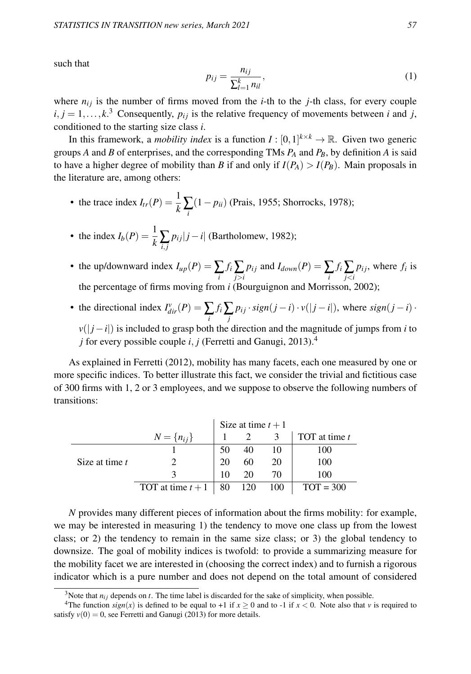such that

$$
p_{ij} = \frac{n_{ij}}{\sum_{l=1}^{k} n_{il}},\tag{1}
$$

where  $n_{ij}$  is the number of firms moved from the *i*-th to the *j*-th class, for every couple  $i, j = 1, \ldots, k$ <sup>3</sup> Consequently,  $p_{ij}$  is the relative frequency of movements between *i* and *j*, conditioned to the starting size class *i*.

In this framework, a *mobility index* is a function  $I : [0,1]^{k \times k} \to \mathbb{R}$ . Given two generic groups *A* and *B* of enterprises, and the corresponding TMs *P<sup>A</sup>* and *PB*, by definition *A* is said to have a higher degree of mobility than *B* if and only if  $I(P_A) > I(P_B)$ . Main proposals in the literature are, among others:

- the trace index  $I_{tr}(P) = \frac{1}{k} \sum_{i}$ (1− *pii*) (Prais, 1955; Shorrocks, 1978);
- the index  $I_b(P) = \frac{1}{k} \sum_{i,j}$  $p_{ij}$ | $j - i$ | (Bartholomew, 1982);
- the up/downward index  $I_{up}(P) = \sum_{i} f_i \sum_{j>i} p_{ij}$  and  $I_{down}(P) = \sum_{i} f_i \sum_{j$  $p_{ij}$ , where  $f_i$  is the percentage of firms moving from *i* (Bourguignon and Morrisson, 2002);
- the directional index  $I_{dir}^{\nu}(P) = \sum_{i} f_i \sum_{j}$  $p_{ij} \cdot sign(j - i) \cdot v(|j - i|)$ , where  $sign(j - i) \cdot$

*v*( $|j - i|$ ) is included to grasp both the direction and the magnitude of jumps from *i* to *j* for every possible couple *i*, *j* (Ferretti and Ganugi, 2013).<sup>4</sup>

As explained in Ferretti (2012), mobility has many facets, each one measured by one or more specific indices. To better illustrate this fact, we consider the trivial and fictitious case of 300 firms with 1, 2 or 3 employees, and we suppose to observe the following numbers of transitions:

|                  |                   |    | Size at time $t + 1$ |     |                 |
|------------------|-------------------|----|----------------------|-----|-----------------|
|                  | $N = \{n_{ij}\}\$ |    |                      |     | TOT at time $t$ |
|                  |                   |    | 40                   | 10  | 100             |
| Size at time $t$ |                   | 20 | 60                   | 20  | 100             |
|                  |                   | 10 | 20                   | 70  | 100             |
|                  | TOT at time $t+1$ | 80 | 120                  | 100 | $TOT = 300$     |

*N* provides many different pieces of information about the firms mobility: for example, we may be interested in measuring 1) the tendency to move one class up from the lowest class; or 2) the tendency to remain in the same size class; or 3) the global tendency to downsize. The goal of mobility indices is twofold: to provide a summarizing measure for the mobility facet we are interested in (choosing the correct index) and to furnish a rigorous indicator which is a pure number and does not depend on the total amount of considered

<sup>&</sup>lt;sup>3</sup>Note that  $n_{ij}$  depends on  $t$ . The time label is discarded for the sake of simplicity, when possible.

<sup>&</sup>lt;sup>4</sup>The function  $sign(x)$  is defined to be equal to +1 if  $x \ge 0$  and to -1 if  $x < 0$ . Note also that *v* is required to satisfy  $v(0) = 0$ , see Ferretti and Ganugi (2013) for more details.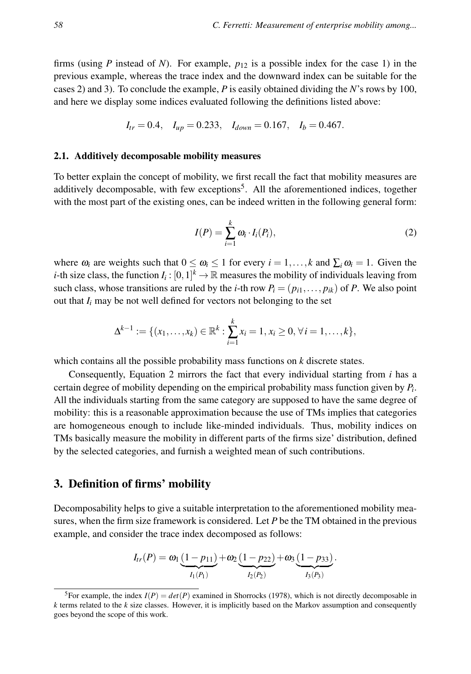firms (using *P* instead of *N*). For example, *p*<sup>12</sup> is a possible index for the case 1) in the previous example, whereas the trace index and the downward index can be suitable for the cases 2) and 3). To conclude the example, *P* is easily obtained dividing the *N*'s rows by 100, and here we display some indices evaluated following the definitions listed above:

$$
I_{tr} = 0.4
$$
,  $I_{up} = 0.233$ ,  $I_{down} = 0.167$ ,  $I_b = 0.467$ .

#### 2.1. Additively decomposable mobility measures

To better explain the concept of mobility, we first recall the fact that mobility measures are additively decomposable, with few exceptions<sup>5</sup>. All the aforementioned indices, together with the most part of the existing ones, can be indeed written in the following general form:

$$
I(P) = \sum_{i=1}^{k} \omega_i \cdot I_i(P_i), \qquad (2)
$$

where  $\omega_i$  are weights such that  $0 \le \omega_i \le 1$  for every  $i = 1, ..., k$  and  $\sum_i \omega_i = 1$ . Given the *i*-th size class, the function  $I_i: [0,1]^k \to \mathbb{R}$  measures the mobility of individuals leaving from such class, whose transitions are ruled by the *i*-th row  $P_i = (p_{i1}, \ldots, p_{ik})$  of *P*. We also point out that  $I_i$  may be not well defined for vectors not belonging to the set

$$
\Delta^{k-1} := \{ (x_1, \ldots, x_k) \in \mathbb{R}^k : \sum_{i=1}^k x_i = 1, x_i \geq 0, \forall i = 1, \ldots, k \},\
$$

which contains all the possible probability mass functions on *k* discrete states.

Consequently, Equation 2 mirrors the fact that every individual starting from *i* has a certain degree of mobility depending on the empirical probability mass function given by *P<sup>i</sup>* . All the individuals starting from the same category are supposed to have the same degree of mobility: this is a reasonable approximation because the use of TMs implies that categories are homogeneous enough to include like-minded individuals. Thus, mobility indices on TMs basically measure the mobility in different parts of the firms size' distribution, defined by the selected categories, and furnish a weighted mean of such contributions.

# 3. Definition of firms' mobility

Decomposability helps to give a suitable interpretation to the aforementioned mobility measures, when the firm size framework is considered. Let *P* be the TM obtained in the previous example, and consider the trace index decomposed as follows:

$$
I_{tr}(P) = \omega_1 \underbrace{(1-p_{11})}_{I_1(P_1)} + \omega_2 \underbrace{(1-p_{22})}_{I_2(P_2)} + \omega_3 \underbrace{(1-p_{33})}_{I_3(P_3)}.
$$

<sup>&</sup>lt;sup>5</sup>For example, the index  $I(P) = det(P)$  examined in Shorrocks (1978), which is not directly decomposable in *k* terms related to the *k* size classes. However, it is implicitly based on the Markov assumption and consequently goes beyond the scope of this work.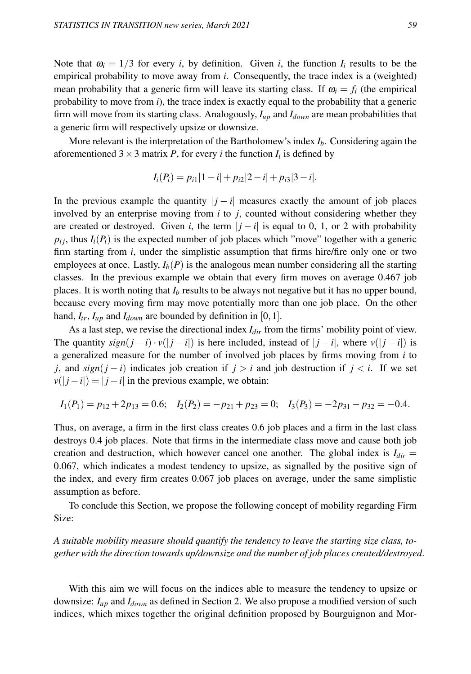Note that  $\omega_i = 1/3$  for every *i*, by definition. Given *i*, the function  $I_i$  results to be the empirical probability to move away from *i*. Consequently, the trace index is a (weighted) mean probability that a generic firm will leave its starting class. If  $\omega_i = f_i$  (the empirical probability to move from *i*), the trace index is exactly equal to the probability that a generic firm will move from its starting class. Analogously, *Iup* and *Idown* are mean probabilities that a generic firm will respectively upsize or downsize.

More relevant is the interpretation of the Bartholomew's index *Ib*. Considering again the aforementioned  $3 \times 3$  matrix *P*, for every *i* the function  $I_i$  is defined by

$$
I_i(P_i) = p_{i1}|1 - i| + p_{i2}|2 - i| + p_{i3}|3 - i|.
$$

In the previous example the quantity  $|j - i|$  measures exactly the amount of job places involved by an enterprise moving from *i* to *j*, counted without considering whether they are created or destroyed. Given *i*, the term  $|j - i|$  is equal to 0, 1, or 2 with probability  $p_i$ , thus  $I_i(P_i)$  is the expected number of job places which "move" together with a generic firm starting from *i*, under the simplistic assumption that firms hire/fire only one or two employees at once. Lastly,  $I_b(P)$  is the analogous mean number considering all the starting classes. In the previous example we obtain that every firm moves on average 0.467 job places. It is worth noting that  $I_b$  results to be always not negative but it has no upper bound, because every moving firm may move potentially more than one job place. On the other hand,  $I_{tr}$ ,  $I_{up}$  and  $I_{down}$  are bounded by definition in [0, 1].

As a last step, we revise the directional index *Idir* from the firms' mobility point of view. The quantity  $sign(j - i) \cdot v(|j - i|)$  is here included, instead of  $|j - i|$ , where  $v(|j - i|)$  is a generalized measure for the number of involved job places by firms moving from *i* to *j*, and *sign*(*j* − *i*) indicates job creation if  $j > i$  and job destruction if  $j < i$ . If we set  $v(|j - i|) = |j - i|$  in the previous example, we obtain:

$$
I_1(P_1) = p_{12} + 2p_{13} = 0.6;
$$
  $I_2(P_2) = -p_{21} + p_{23} = 0;$   $I_3(P_3) = -2p_{31} - p_{32} = -0.4.$ 

Thus, on average, a firm in the first class creates 0.6 job places and a firm in the last class destroys 0.4 job places. Note that firms in the intermediate class move and cause both job creation and destruction, which however cancel one another. The global index is  $I_{dir}$  = 0.067, which indicates a modest tendency to upsize, as signalled by the positive sign of the index, and every firm creates 0.067 job places on average, under the same simplistic assumption as before.

To conclude this Section, we propose the following concept of mobility regarding Firm Size:

*A suitable mobility measure should quantify the tendency to leave the starting size class, together with the direction towards up/downsize and the number of job places created/destroyed*.

With this aim we will focus on the indices able to measure the tendency to upsize or downsize: *Iup* and *Idown* as defined in Section 2. We also propose a modified version of such indices, which mixes together the original definition proposed by Bourguignon and Mor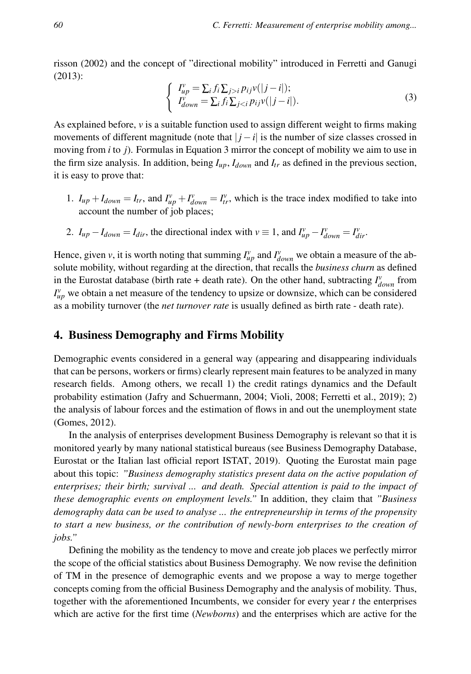risson (2002) and the concept of "directional mobility" introduced in Ferretti and Ganugi (2013):

$$
\begin{cases}\nI_{up}^{\nu} = \sum_{i} f_{i} \sum_{j>i} p_{ij} v(|j - i|); \\
I_{down}^{\nu} = \sum_{i} f_{i} \sum_{j
$$

As explained before,  $\nu$  is a suitable function used to assign different weight to firms making movements of different magnitude (note that  $|j - i|$  is the number of size classes crossed in moving from *i* to *j*). Formulas in Equation 3 mirror the concept of mobility we aim to use in the firm size analysis. In addition, being  $I_{up}$ ,  $I_{down}$  and  $I_{tr}$  as defined in the previous section, it is easy to prove that:

- 1.  $I_{up} + I_{down} = I_{tr}$ , and  $I_{up}^{\nu} + I_{down}^{\nu} = I_{tr}^{\nu}$ , which is the trace index modified to take into account the number of job places;
- 2.  $I_{up} I_{down} = I_{dir}$ , the directional index with  $v \equiv 1$ , and  $I_{up}^v I_{down}^v = I_{dir}^v$ .

Hence, given *v*, it is worth noting that summing  $I_{up}^{\nu}$  and  $I_{down}^{\nu}$  we obtain a measure of the absolute mobility, without regarding at the direction, that recalls the *business churn* as defined in the Eurostat database (birth rate + death rate). On the other hand, subtracting  $I^v_{down}$  from  $I_{up}^{\nu}$  we obtain a net measure of the tendency to upsize or downsize, which can be considered as a mobility turnover (the *net turnover rate* is usually defined as birth rate - death rate).

# 4. Business Demography and Firms Mobility

Demographic events considered in a general way (appearing and disappearing individuals that can be persons, workers or firms) clearly represent main features to be analyzed in many research fields. Among others, we recall 1) the credit ratings dynamics and the Default probability estimation (Jafry and Schuermann, 2004; Violi, 2008; Ferretti et al., 2019); 2) the analysis of labour forces and the estimation of flows in and out the unemployment state (Gomes, 2012).

In the analysis of enterprises development Business Demography is relevant so that it is monitored yearly by many national statistical bureaus (see Business Demography Database, Eurostat or the Italian last official report ISTAT, 2019). Quoting the Eurostat main page about this topic: *"Business demography statistics present data on the active population of enterprises; their birth; survival ... and death. Special attention is paid to the impact of these demographic events on employment levels."* In addition, they claim that *"Business demography data can be used to analyse ... the entrepreneurship in terms of the propensity to start a new business, or the contribution of newly-born enterprises to the creation of jobs."*

Defining the mobility as the tendency to move and create job places we perfectly mirror the scope of the official statistics about Business Demography. We now revise the definition of TM in the presence of demographic events and we propose a way to merge together concepts coming from the official Business Demography and the analysis of mobility. Thus, together with the aforementioned Incumbents, we consider for every year  $t$  the enterprises which are active for the first time (*Newborns*) and the enterprises which are active for the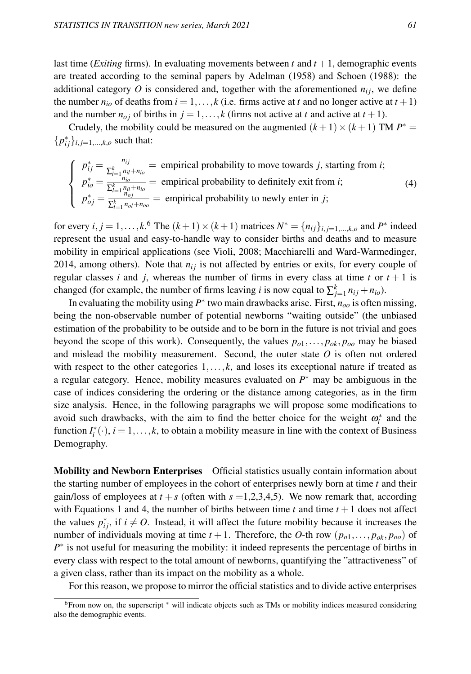last time *(Exiting firms)*. In evaluating movements between  $t$  and  $t + 1$ , demographic events are treated according to the seminal papers by Adelman (1958) and Schoen (1988): the additional category  $O$  is considered and, together with the aforementioned  $n_{ij}$ , we define the number  $n_{io}$  of deaths from  $i = 1, \ldots, k$  (i.e. firms active at *t* and no longer active at  $t + 1$ ) and the number  $n_{oj}$  of births in  $j = 1, \ldots, k$  (firms not active at *t* and active at  $t + 1$ ).

Crudely, the mobility could be measured on the augmented  $(k+1) \times (k+1)$  TM  $P^* =$  ${p_{ij}^*}_{i,j=1,...,k,o}$  such that:

$$
\begin{cases}\n p_{ij}^* = \frac{n_{ij}}{\sum_{l=1}^k n_{il} + n_{io}} = \text{empirical probability to move towards } j \text{, starting from } i; \\
 p_{io}^* = \frac{n_{io}}{\sum_{l=1}^k n_{il} + n_{io}} = \text{empirical probability to definitely exit from } i; \\
 p_{oj}^* = \frac{1}{\sum_{l=1}^k n_{ol} + n_{oo}} = \text{empirical probability to newly enter in } j;\n\end{cases} \tag{4}
$$

for every  $i, j = 1, ..., k$ .<sup>6</sup> The  $(k+1) \times (k+1)$  matrices  $N^* = \{n_{ij}\}_{i,j=1,...,k,o}$  and  $P^*$  indeed represent the usual and easy-to-handle way to consider births and deaths and to measure mobility in empirical applications (see Violi, 2008; Macchiarelli and Ward-Warmedinger, 2014, among others). Note that  $n_i$  is not affected by entries or exits, for every couple of regular classes *i* and *j*, whereas the number of firms in every class at time *t* or  $t + 1$  is changed (for example, the number of firms leaving *i* is now equal to  $\sum_{j=1}^{k} n_{ij} + n_{io}$ ).

In evaluating the mobility using *P* ∗ two main drawbacks arise. First, *noo* is often missing, being the non-observable number of potential newborns "waiting outside" (the unbiased estimation of the probability to be outside and to be born in the future is not trivial and goes beyond the scope of this work). Consequently, the values  $p_{o1}, \ldots, p_{ok}, p_{oo}$  may be biased and mislead the mobility measurement. Second, the outer state *O* is often not ordered with respect to the other categories  $1, \ldots, k$ , and loses its exceptional nature if treated as a regular category. Hence, mobility measures evaluated on  $P^*$  may be ambiguous in the case of indices considering the ordering or the distance among categories, as in the firm size analysis. Hence, in the following paragraphs we will propose some modifications to avoid such drawbacks, with the aim to find the better choice for the weight  $\omega_i^*$  and the function  $I_i^*(\cdot)$ ,  $i = 1, ..., k$ , to obtain a mobility measure in line with the context of Business Demography.

Mobility and Newborn Enterprises Official statistics usually contain information about the starting number of employees in the cohort of enterprises newly born at time *t* and their gain/loss of employees at  $t + s$  (often with  $s = 1,2,3,4,5$ ). We now remark that, according with Equations 1 and 4, the number of births between time  $t$  and time  $t + 1$  does not affect the values  $p_{ij}^*$ , if  $i \neq 0$ . Instead, it will affect the future mobility because it increases the number of individuals moving at time  $t + 1$ . Therefore, the *O*-th row  $(p_{o1}, \ldots, p_{ok}, p_{oo})$  of *P*<sup>\*</sup> is not useful for measuring the mobility: it indeed represents the percentage of births in every class with respect to the total amount of newborns, quantifying the "attractiveness" of a given class, rather than its impact on the mobility as a whole.

For this reason, we propose to mirror the official statistics and to divide active enterprises

<sup>6</sup>From now on, the superscript <sup>∗</sup> will indicate objects such as TMs or mobility indices measured considering also the demographic events.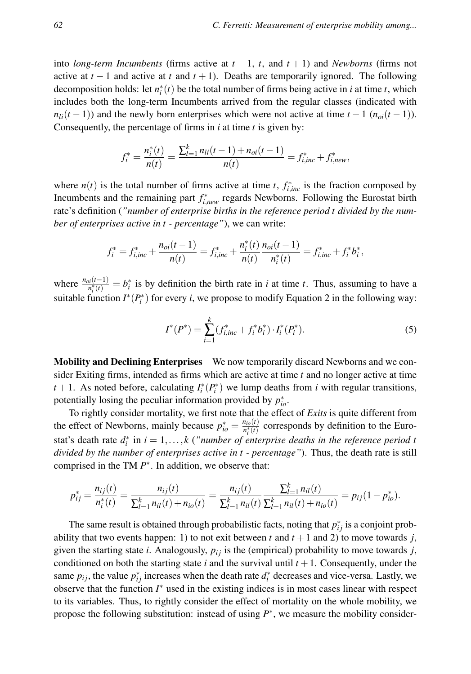into *long-term Incumbents* (firms active at  $t - 1$ ,  $t$ , and  $t + 1$ ) and *Newborns* (firms not active at  $t-1$  and active at  $t$  and  $t+1$ ). Deaths are temporarily ignored. The following decomposition holds: let  $n_i^*(t)$  be the total number of firms being active in *i* at time *t*, which includes both the long-term Incumbents arrived from the regular classes (indicated with  $n_{li}(t-1)$ ) and the newly born enterprises which were not active at time  $t-1$  ( $n_{oi}(t-1)$ ). Consequently, the percentage of firms in *i* at time *t* is given by:

$$
f_i^* = \frac{n_i^*(t)}{n(t)} = \frac{\sum_{l=1}^k n_{li}(t-1) + n_{oi}(t-1)}{n(t)} = f_{i,inc}^* + f_{i,new}^*,
$$

where  $n(t)$  is the total number of firms active at time *t*,  $f_{i, inc}^{*}$  is the fraction composed by Incumbents and the remaining part *f* ∗ *<sup>i</sup>*,*new* regards Newborns. Following the Eurostat birth rate's definition (*"number of enterprise births in the reference period t divided by the number of enterprises active in t - percentage"*), we can write:

$$
f_i^* = f_{i,inc}^* + \frac{n_{oi}(t-1)}{n(t)} = f_{i,inc}^* + \frac{n_i^*(t)}{n(t)} \frac{n_{oi}(t-1)}{n_i^*(t)} = f_{i,inc}^* + f_i^* b_i^*,
$$

where  $\frac{n_{oi}(t-1)}{n_i^*(t)} = b_i^*$  is by definition the birth rate in *i* at time *t*. Thus, assuming to have a suitable function  $I^*(P_i^*)$  for every *i*, we propose to modify Equation 2 in the following way:

$$
I^*(P^*) = \sum_{i=1}^k (f_{i,inc}^* + f_i^* b_i^*) \cdot I_i^* (P_i^*).
$$
 (5)

Mobility and Declining Enterprises We now temporarily discard Newborns and we consider Exiting firms, intended as firms which are active at time *t* and no longer active at time *t* + 1. As noted before, calculating  $I_i^*(P_i^*)$  we lump deaths from *i* with regular transitions, potentially losing the peculiar information provided by *p* ∗ *io*.

To rightly consider mortality, we first note that the effect of *Exits* is quite different from the effect of Newborns, mainly because  $p_{io}^* = \frac{n_{io}(t)}{n_i^*(t)}$  corresponds by definition to the Eurostat's death rate  $d_i^*$  in  $i = 1, ..., k$  ("number of enterprise deaths in the reference period to *divided by the number of enterprises active in t - percentage"*). Thus, the death rate is still comprised in the TM  $P^*$ . In addition, we observe that:

$$
p_{ij}^* = \frac{n_{ij}(t)}{n_i^*(t)} = \frac{n_{ij}(t)}{\sum_{l=1}^k n_{il}(t) + n_{io}(t)} = \frac{n_{ij}(t)}{\sum_{l=1}^k n_{il}(t)} \frac{\sum_{l=1}^k n_{il}(t)}{\sum_{l=1}^k n_{il}(t) + n_{io}(t)} = p_{ij}(1 - p_{io}^*).
$$

The same result is obtained through probabilistic facts, noting that  $p_{ij}^*$  is a conjoint probability that two events happen: 1) to not exit between  $t$  and  $t + 1$  and 2) to move towards *j*, given the starting state *i*. Analogously,  $p_{ij}$  is the (empirical) probability to move towards *j*, conditioned on both the starting state  $i$  and the survival until  $t + 1$ . Consequently, under the same  $p_{ij}$ , the value  $p_{ij}^*$  increases when the death rate  $d_i^*$  decreases and vice-versa. Lastly, we observe that the function *I* <sup>∗</sup> used in the existing indices is in most cases linear with respect to its variables. Thus, to rightly consider the effect of mortality on the whole mobility, we propose the following substitution: instead of using  $P^*$ , we measure the mobility consider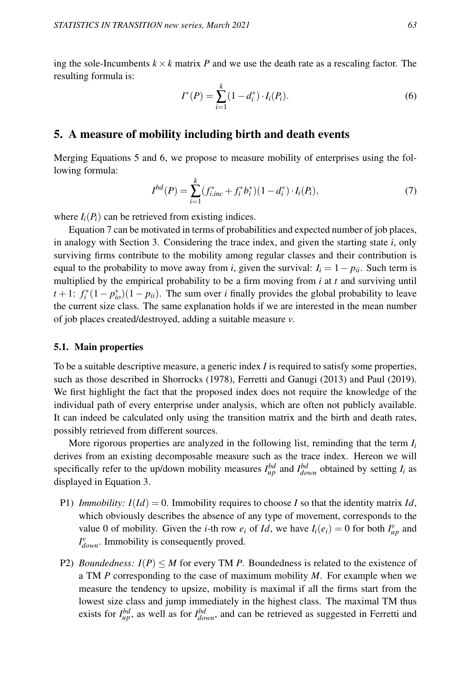ing the sole-Incumbents  $k \times k$  matrix *P* and we use the death rate as a rescaling factor. The resulting formula is:

$$
I^*(P) = \sum_{i=1}^k (1 - d_i^*) \cdot I_i(P_i).
$$
 (6)

### 5. A measure of mobility including birth and death events

Merging Equations 5 and 6, we propose to measure mobility of enterprises using the following formula:

$$
I^{bd}(P) = \sum_{i=1}^{k} (f_{i,inc}^* + f_i^* b_i^*)(1 - d_i^*) \cdot I_i(P_i), \tag{7}
$$

where  $I_i(P_i)$  can be retrieved from existing indices.

Equation 7 can be motivated in terms of probabilities and expected number of job places, in analogy with Section 3. Considering the trace index, and given the starting state *i*, only surviving firms contribute to the mobility among regular classes and their contribution is equal to the probability to move away from *i*, given the survival:  $I_i = 1 - p_{ii}$ . Such term is multiplied by the empirical probability to be a firm moving from *i* at *t* and surviving until  $t + 1$ :  $f_i^*(1 - p_{io}^*)(1 - p_{ii})$ . The sum over *i* finally provides the global probability to leave the current size class. The same explanation holds if we are interested in the mean number of job places created/destroyed, adding a suitable measure *v*.

#### 5.1. Main properties

To be a suitable descriptive measure, a generic index *I* is required to satisfy some properties, such as those described in Shorrocks (1978), Ferretti and Ganugi (2013) and Paul (2019). We first highlight the fact that the proposed index does not require the knowledge of the individual path of every enterprise under analysis, which are often not publicly available. It can indeed be calculated only using the transition matrix and the birth and death rates, possibly retrieved from different sources.

More rigorous properties are analyzed in the following list, reminding that the term *I<sup>i</sup>* derives from an existing decomposable measure such as the trace index. Hereon we will specifically refer to the up/down mobility measures  $I_{up}^{bd}$  and  $I_{down}^{bd}$  obtained by setting  $I_i$  as displayed in Equation 3.

- P1) *Immobility:*  $I(Id) = 0$ . Immobility requires to choose *I* so that the identity matrix *Id*, which obviously describes the absence of any type of movement, corresponds to the value 0 of mobility. Given the *i*-th row  $e_i$  of *Id*, we have  $I_i(e_i) = 0$  for both  $I_{up}^v$  and  $I_{down}^{\nu}$ . Immobility is consequently proved.
- P2) *Boundedness:*  $I(P) \leq M$  for every TM *P*. Boundedness is related to the existence of a TM *P* corresponding to the case of maximum mobility *M*. For example when we measure the tendency to upsize, mobility is maximal if all the firms start from the lowest size class and jump immediately in the highest class. The maximal TM thus exists for  $I_{\mu}^{bd}$ , as well as for  $I_{down}^{bd}$ , and can be retrieved as suggested in Ferretti and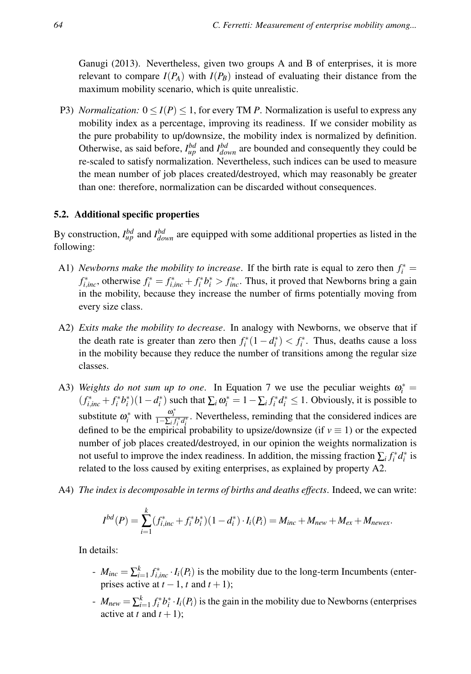Ganugi (2013). Nevertheless, given two groups A and B of enterprises, it is more relevant to compare  $I(P_A)$  with  $I(P_B)$  instead of evaluating their distance from the maximum mobility scenario, which is quite unrealistic.

P3) *Normalization:*  $0 \le I(P) \le 1$ , for every TM *P*. Normalization is useful to express any mobility index as a percentage, improving its readiness. If we consider mobility as the pure probability to up/downsize, the mobility index is normalized by definition. Otherwise, as said before,  $I_{up}^{bd}$  and  $I_{down}^{bd}$  are bounded and consequently they could be re-scaled to satisfy normalization. Nevertheless, such indices can be used to measure the mean number of job places created/destroyed, which may reasonably be greater than one: therefore, normalization can be discarded without consequences.

### 5.2. Additional specific properties

By construction,  $I_{\mu}^{bd}$  and  $I_{down}^{bd}$  are equipped with some additional properties as listed in the following:

- A1) *Newborns make the mobility to increase.* If the birth rate is equal to zero then  $f_i^* =$  $f_{i,inc}^*$ , otherwise  $f_i^* = f_{i,inc}^* + f_i^* b_i^* > f_{inc}^*$ . Thus, it proved that Newborns bring a gain in the mobility, because they increase the number of firms potentially moving from every size class.
- A2) *Exits make the mobility to decrease*. In analogy with Newborns, we observe that if the death rate is greater than zero then  $f_i^*(1 - d_i^*) < f_i^*$ . Thus, deaths cause a loss in the mobility because they reduce the number of transitions among the regular size classes.
- A3) *Weights do not sum up to one*. In Equation 7 we use the peculiar weights  $\omega_i^* =$  $(f_{i,inc}^* + f_i^*b_i^*)(1 - d_i^*)$  such that  $\sum_i \omega_i^* = 1 - \sum_i f_i^*d_i^* \le 1$ . Obviously, it is possible to substitute  $\omega_i^*$  with  $\frac{\omega_i^*}{1-\sum_i f_i^* d_i^*}$ . Nevertheless, reminding that the considered indices are defined to be the empirical probability to upsize/downsize (if  $v \equiv 1$ ) or the expected number of job places created/destroyed, in our opinion the weights normalization is not useful to improve the index readiness. In addition, the missing fraction  $\sum_i f_i^* d_i^*$  is related to the loss caused by exiting enterprises, as explained by property A2.
- A4) *The index is decomposable in terms of births and deaths effects*. Indeed, we can write:

$$
I^{bd}(P) = \sum_{i=1}^{k} (f_{i,inc}^* + f_i^* b_i^*)(1 - d_i^*) \cdot I_i(P_i) = M_{inc} + M_{new} + M_{ex} + M_{newex}.
$$

In details:

- $M_{inc} = \sum_{i=1}^{k} f_{i,inc}^{*} \cdot I_i(P_i)$  is the mobility due to the long-term Incumbents (enterprises active at  $t - 1$ ,  $t$  and  $t + 1$ );
- $-M_{new} = \sum_{i=1}^{k} f_i^* b_i^* \cdot I_i(P_i)$  is the gain in the mobility due to Newborns (enterprises active at *t* and  $t + 1$ ;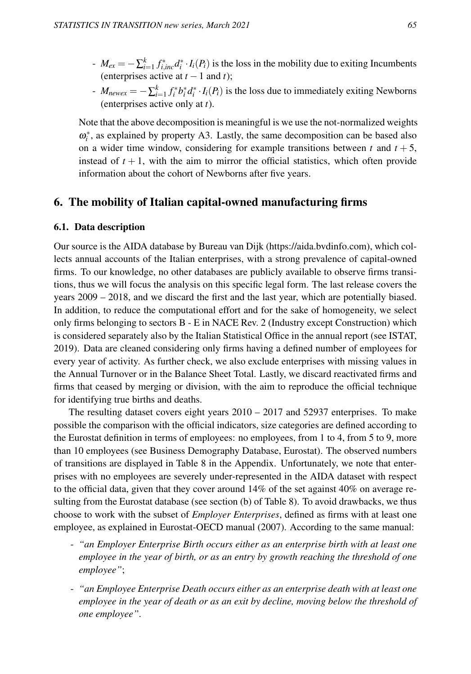- $M_{ex} = -\sum_{i=1}^{k} f_{i, inc}^{*} d_{i}^{*} \cdot I_{i}(P_{i})$  is the loss in the mobility due to exiting Incumbents (enterprises active at  $t - 1$  and  $t$ );
- *i M*<sub>newex</sub> = − $\sum_{i=1}^{k} f_i^* b_i^* d_i^* \cdot I_i(P_i)$  is the loss due to immediately exiting Newborns (enterprises active only at *t*).

Note that the above decomposition is meaningful is we use the not-normalized weights  $\omega_i^*$ , as explained by property A3. Lastly, the same decomposition can be based also on a wider time window, considering for example transitions between  $t$  and  $t + 5$ , instead of  $t + 1$ , with the aim to mirror the official statistics, which often provide information about the cohort of Newborns after five years.

# 6. The mobility of Italian capital-owned manufacturing firms

### 6.1. Data description

Our source is the AIDA database by Bureau van Dijk (https://aida.bvdinfo.com), which collects annual accounts of the Italian enterprises, with a strong prevalence of capital-owned firms. To our knowledge, no other databases are publicly available to observe firms transitions, thus we will focus the analysis on this specific legal form. The last release covers the years 2009 – 2018, and we discard the first and the last year, which are potentially biased. In addition, to reduce the computational effort and for the sake of homogeneity, we select only firms belonging to sectors B - E in NACE Rev. 2 (Industry except Construction) which is considered separately also by the Italian Statistical Office in the annual report (see ISTAT, 2019). Data are cleaned considering only firms having a defined number of employees for every year of activity. As further check, we also exclude enterprises with missing values in the Annual Turnover or in the Balance Sheet Total. Lastly, we discard reactivated firms and firms that ceased by merging or division, with the aim to reproduce the official technique for identifying true births and deaths.

The resulting dataset covers eight years 2010 – 2017 and 52937 enterprises. To make possible the comparison with the official indicators, size categories are defined according to the Eurostat definition in terms of employees: no employees, from 1 to 4, from 5 to 9, more than 10 employees (see Business Demography Database, Eurostat). The observed numbers of transitions are displayed in Table 8 in the Appendix. Unfortunately, we note that enterprises with no employees are severely under-represented in the AIDA dataset with respect to the official data, given that they cover around 14% of the set against 40% on average resulting from the Eurostat database (see section (b) of Table 8). To avoid drawbacks, we thus choose to work with the subset of *Employer Enterprises*, defined as firms with at least one employee, as explained in Eurostat-OECD manual (2007). According to the same manual:

- *"an Employer Enterprise Birth occurs either as an enterprise birth with at least one employee in the year of birth, or as an entry by growth reaching the threshold of one employee"*;
- *"an Employee Enterprise Death occurs either as an enterprise death with at least one employee in the year of death or as an exit by decline, moving below the threshold of one employee"*.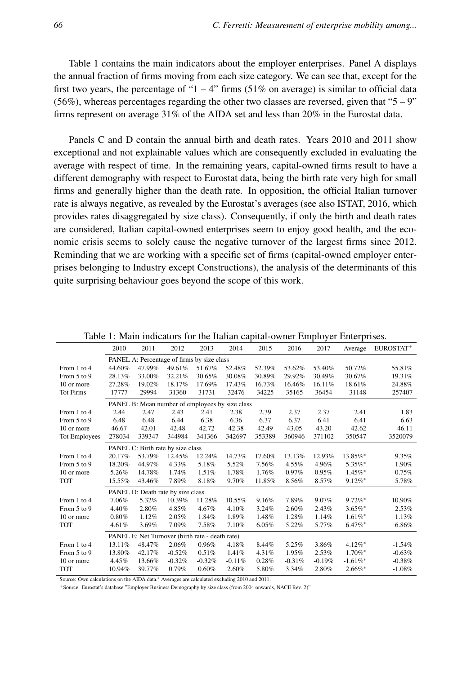Table 1 contains the main indicators about the employer enterprises. Panel A displays the annual fraction of firms moving from each size category. We can see that, except for the first two years, the percentage of "1 – 4" firms  $(51\%$  on average) is similar to official data (56%), whereas percentages regarding the other two classes are reversed, given that " $5 - 9$ " firms represent on average 31% of the AIDA set and less than 20% in the Eurostat data.

Panels C and D contain the annual birth and death rates. Years 2010 and 2011 show exceptional and not explainable values which are consequently excluded in evaluating the average with respect of time. In the remaining years, capital-owned firms result to have a different demography with respect to Eurostat data, being the birth rate very high for small firms and generally higher than the death rate. In opposition, the official Italian turnover rate is always negative, as revealed by the Eurostat's averages (see also ISTAT, 2016, which provides rates disaggregated by size class). Consequently, if only the birth and death rates are considered, Italian capital-owned enterprises seem to enjoy good health, and the economic crisis seems to solely cause the negative turnover of the largest firms since 2012. Reminding that we are working with a specific set of firms (capital-owned employer enterprises belonging to Industry except Constructions), the analysis of the determinants of this quite surprising behaviour goes beyond the scope of this work.

|                  |                                            |                                                 |          |          |          |        |          |          | τ.                    |                       |
|------------------|--------------------------------------------|-------------------------------------------------|----------|----------|----------|--------|----------|----------|-----------------------|-----------------------|
|                  | 2010                                       | 2011                                            | 2012     | 2013     | 2014     | 2015   | 2016     | 2017     | Average               | EUROSTAT <sup>+</sup> |
|                  | PANEL A: Percentage of firms by size class |                                                 |          |          |          |        |          |          |                       |                       |
| From 1 to 4      | 44.60%                                     | 47.99%                                          | 49.61%   | 51.67%   | 52.48%   | 52.39% | 53.62%   | 53.40%   | 50.72%                | 55.81%                |
| From 5 to 9      | 28.13%                                     | 33.00%                                          | 32.21%   | 30.65%   | 30.08%   | 30.89% | 29.92%   | 30.49%   | 30.67%                | 19.31%                |
| 10 or more       | 27.28%                                     | 19.02%                                          | 18.17%   | 17.69%   | 17.43%   | 16.73% | 16.46%   | 16.11%   | 18.61%                | 24.88%                |
| <b>Tot Firms</b> | 17777                                      | 29994                                           | 31360    | 31731    | 32476    | 34225  | 35165    | 36454    | 31148                 | 257407                |
|                  |                                            | PANEL B: Mean number of employees by size class |          |          |          |        |          |          |                       |                       |
| From 1 to 4      | 2.44                                       | 2.47                                            | 2.43     | 2.41     | 2.38     | 2.39   | 2.37     | 2.37     | 2.41                  | 1.83                  |
| From 5 to 9      | 6.48                                       | 6.48                                            | 6.44     | 6.38     | 6.36     | 6.37   | 6.37     | 6.41     | 6.41                  | 6.63                  |
| 10 or more       | 46.67                                      | 42.01                                           | 42.48    | 42.72    | 42.38    | 42.49  | 43.05    | 43.20    | 42.62                 | 46.11                 |
| Tot Employees    | 278034                                     | 339347                                          | 344984   | 341366   | 342697   | 353389 | 360946   | 371102   | 350547                | 3520079               |
|                  |                                            | PANEL C: Birth rate by size class               |          |          |          |        |          |          |                       |                       |
| From 1 to 4      | 20.17%                                     | 53.79%                                          | 12.45%   | 12.24%   | 14.73%   | 17.60% | 13.13%   | 12.93%   | 13.85%*               | 9.35%                 |
| From 5 to 9      | 18.20%                                     | 44.97%                                          | 4.33%    | 5.18%    | 5.52%    | 7.56%  | 4.55%    | 4.96%    | 5.35%*                | 1.90%                 |
| 10 or more       | 5.26%                                      | 14.78%                                          | 1.74%    | 1.51%    | 1.78%    | 1.76%  | 0.97%    | 0.95%    | $1.45\%$ *            | 0.75%                 |
| <b>TOT</b>       | 15.55%                                     | 43.46%                                          | 7.89%    | 8.18%    | 9.70%    | 11.85% | 8.56%    | 8.57%    | $9.12\%$ *            | 5.78%                 |
|                  |                                            | PANEL D: Death rate by size class               |          |          |          |        |          |          |                       |                       |
| From 1 to 4      | 7.06%                                      | 5.32%                                           | 10.39%   | 11.28%   | 10.55%   | 9.16%  | 7.89%    | 9.07%    | $9.72\%$ *            | 10.90%                |
| From 5 to 9      | 4.40%                                      | 2.80%                                           | 4.85%    | 4.67%    | 4.10%    | 3.24%  | 2.60%    | 2.43%    | $3.65\%$ *            | 2.53%                 |
| 10 or more       | 0.80%                                      | 1.12%                                           | 2.05%    | 1.84%    | 1.89%    | 1.48%  | 1.28%    | 1.14%    | $1.61\%$ *            | 1.13%                 |
| <b>TOT</b>       | 4.61%                                      | 3.69%                                           | 7.09%    | 7.58%    | 7.10%    | 6.05%  | 5.22%    | 5.77%    | 6.47%*                | 6.86%                 |
|                  |                                            | PANEL E: Net Turnover (birth rate - death rate) |          |          |          |        |          |          |                       |                       |
| From 1 to 4      | 13.11%                                     | 48.47%                                          | 2.06%    | 0.96%    | 4.18%    | 8.44%  | 5.25%    | 3.86%    | $4.12\%$ <sup>*</sup> | $-1.54%$              |
| From 5 to 9      | 13.80%                                     | 42.17%                                          | $-0.52%$ | 0.51%    | 1.41%    | 4.31%  | 1.95%    | 2.53%    | 1.70%*                | $-0.63%$              |
| 10 or more       | 4.45%                                      | 13.66%                                          | $-0.32%$ | $-0.32%$ | $-0.11%$ | 0.28%  | $-0.31%$ | $-0.19%$ | $-1.61\%$ *           | $-0.38%$              |
| <b>TOT</b>       | 10.94%                                     | 39.77%                                          | 0.79%    | 0.60%    | 2.60%    | 5.80%  | 3.34%    | 2.80%    | $2.66\%$ *            | $-1.08%$              |

Table 1: Main indicators for the Italian capital-owner Employer Enterprises.

Source: Own calculations on the AIDA data.<sup>∗</sup> Averages are calculated excluding 2010 and 2011.

+Source: Eurostat's database "Employer Business Demography by size class (from 2004 onwards, NACE Rev. 2)"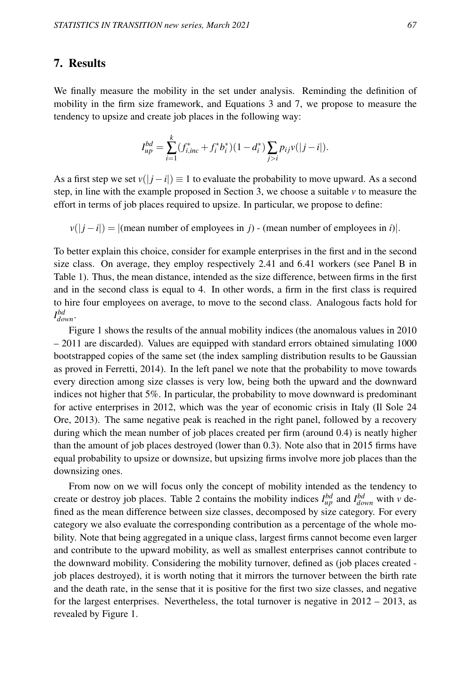# 7. Results

We finally measure the mobility in the set under analysis. Reminding the definition of mobility in the firm size framework, and Equations 3 and 7, we propose to measure the tendency to upsize and create job places in the following way:

$$
I_{up}^{bd} = \sum_{i=1}^{k} (f_{i,inc}^* + f_i^* b_i^*)(1 - d_i^*) \sum_{j>i} p_{ij} v(|j - i|).
$$

As a first step we set  $v(|i - i|) \equiv 1$  to evaluate the probability to move upward. As a second step, in line with the example proposed in Section 3, we choose a suitable  $\nu$  to measure the effort in terms of job places required to upsize. In particular, we propose to define:

 $v(|j - i|) = |$ (mean number of employees in *j*) - (mean number of employees in *i*).

To better explain this choice, consider for example enterprises in the first and in the second size class. On average, they employ respectively 2.41 and 6.41 workers (see Panel B in Table 1). Thus, the mean distance, intended as the size difference, between firms in the first and in the second class is equal to 4. In other words, a firm in the first class is required to hire four employees on average, to move to the second class. Analogous facts hold for *I bd down*.

Figure 1 shows the results of the annual mobility indices (the anomalous values in 2010 – 2011 are discarded). Values are equipped with standard errors obtained simulating 1000 bootstrapped copies of the same set (the index sampling distribution results to be Gaussian as proved in Ferretti, 2014). In the left panel we note that the probability to move towards every direction among size classes is very low, being both the upward and the downward indices not higher that 5%. In particular, the probability to move downward is predominant for active enterprises in 2012, which was the year of economic crisis in Italy (Il Sole 24 Ore, 2013). The same negative peak is reached in the right panel, followed by a recovery during which the mean number of job places created per firm (around 0.4) is neatly higher than the amount of job places destroyed (lower than 0.3). Note also that in 2015 firms have equal probability to upsize or downsize, but upsizing firms involve more job places than the downsizing ones.

From now on we will focus only the concept of mobility intended as the tendency to create or destroy job places. Table 2 contains the mobility indices  $I_{up}^{bd}$  and  $I_{down}^{bd}$  with *v* defined as the mean difference between size classes, decomposed by size category. For every category we also evaluate the corresponding contribution as a percentage of the whole mobility. Note that being aggregated in a unique class, largest firms cannot become even larger and contribute to the upward mobility, as well as smallest enterprises cannot contribute to the downward mobility. Considering the mobility turnover, defined as (job places created job places destroyed), it is worth noting that it mirrors the turnover between the birth rate and the death rate, in the sense that it is positive for the first two size classes, and negative for the largest enterprises. Nevertheless, the total turnover is negative in  $2012 - 2013$ , as revealed by Figure 1.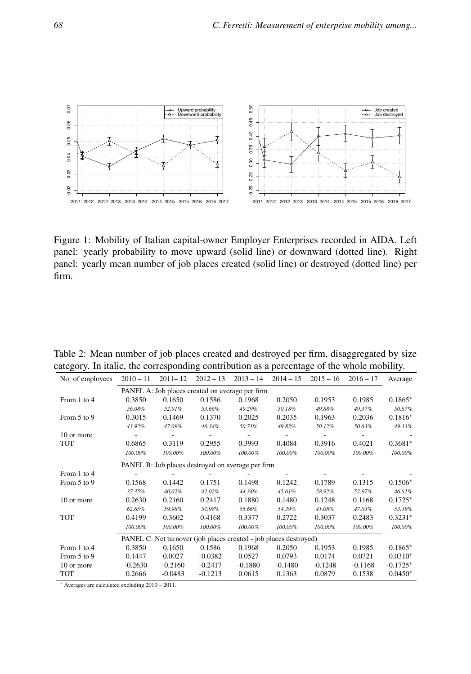

Figure 1: Mobility of Italian capital-owner Employer Enterprises recorded in AIDA. Left panel: yearly probability to move upward (solid line) or downward (dotted line). Right panel: yearly mean number of job places created (solid line) or destroyed (dotted line) per firm.

| No. of employees | $2010 - 11$                                     | $2011 - 12$ | $2012 - 13$ | $2013 - 14$                                                       | $2014 - 15$        | $2015 - 16$ | $2016 - 17$ | Average    |  |  |
|------------------|-------------------------------------------------|-------------|-------------|-------------------------------------------------------------------|--------------------|-------------|-------------|------------|--|--|
|                  | PANEL A: Job places created on average per firm |             |             |                                                                   |                    |             |             |            |  |  |
| From 1 to 4      | 0.3850                                          | 0.1650      | 0.1586      | 0.1968                                                            | 0.2050             | 0.1953      | 0.1985      | $0.1865*$  |  |  |
|                  | 56.08%                                          | 52.91%      | 53.66%      | 49.29%                                                            | 50.18%             | 49.88%      | 49.37%      | 50.67%     |  |  |
| From 5 to 9      | 0.3015                                          | 0.1469      | 0.1370      | 0.2025                                                            | 0.2035             | 0.1963      | 0.2036      | $0.1816*$  |  |  |
|                  | 43.92%                                          | 47.09%      | 46.34%      | 50.71%                                                            | 49.82%             | 50.12%      | 50.63%      | 49.33%     |  |  |
| 10 or more       |                                                 |             |             |                                                                   |                    |             |             |            |  |  |
| TOT              | 0.6865                                          | 0.3119      | 0.2955      | 0.3993                                                            | 0.4084             | 0.3916      | 0.4021      | $0.3681*$  |  |  |
|                  | 100.00%                                         | 100.00%     | 100.00%     | 100.00%                                                           | 100.00%            | 100.00%     | 100.00%     | 100.00%    |  |  |
|                  |                                                 |             |             | PANEL B: Job places destroyed on average per firm                 |                    |             |             |            |  |  |
| From 1 to 4      |                                                 |             |             |                                                                   |                    |             |             |            |  |  |
| From 5 to 9      | 0.1568                                          | 0.1442      | 0.1751      | 0.1498                                                            | 0.1242             | 0.1789      | 0.1315      | $0.1506*$  |  |  |
|                  | 37.35%                                          | 40.02%      | 42.02%      | 44.34%                                                            | 45.61%             | 58.92%      | 52.97%      | 46.61%     |  |  |
| 10 or more       | 0.2630                                          | 0.2160      | 0.2417      | 0.1880                                                            | 0.1480             | 0.1248      | 0.1168      | $0.1725*$  |  |  |
|                  | 62.65%                                          | 59.98%      | 57.98%      | 55.66%                                                            | 54.39%             | 41.08%      | 47.03%      | 53.39%     |  |  |
| <b>TOT</b>       | 0.4199                                          | 0.3602      | 0.4168      | 0.3377                                                            | 0.2722             | 0.3037      | 0.2483      | $0.3231*$  |  |  |
|                  | 100.00%                                         | 100.00%     | 100.00%     | 100.00%                                                           | 100.00%<br>100.00% |             | 100.00%     | 100.00%    |  |  |
|                  |                                                 |             |             | PANEL C: Net turnover (job places created - job places destroyed) |                    |             |             |            |  |  |
| From 1 to 4      | 0.3850                                          | 0.1650      | 0.1586      | 0.1968                                                            | 0.2050             | 0.1953      | 0.1985      | $0.1865*$  |  |  |
| From 5 to 9      | 0.1447                                          | 0.0027      | $-0.0382$   | 0.0527                                                            | 0.0793             | 0.0174      | 0.0721      | $0.0310*$  |  |  |
| 10 or more       | $-0.2630$                                       | $-0.2160$   | $-0.2417$   | $-0.1880$                                                         | $-0.1480$          | $-0.1248$   | $-0.1168$   | $-0.1725*$ |  |  |
| TOT              | 0.2666                                          | $-0.0483$   | $-0.1213$   | 0.0615                                                            | 0.1363             | 0.0879      | 0.1538      | $0.0450*$  |  |  |

Table 2: Mean number of job places created and destroyed per firm, disaggregated by size category. In italic, the corresponding contribution as a percentage of the whole mobility.

<sup>∗</sup> Averages are calculated excluding 2010 – 2011.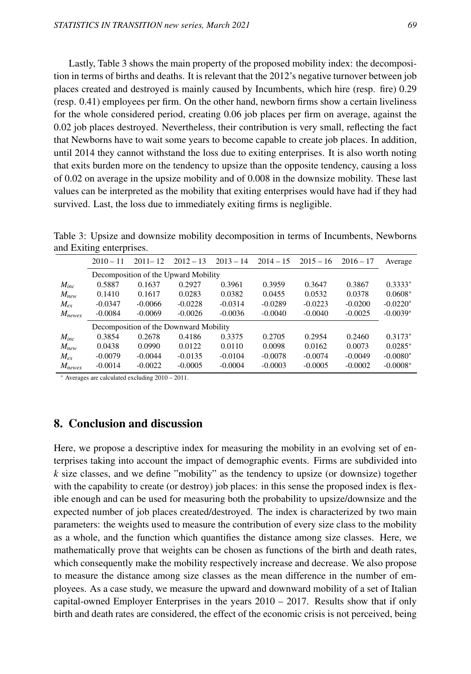Lastly, Table 3 shows the main property of the proposed mobility index: the decomposition in terms of births and deaths. It is relevant that the 2012's negative turnover between job places created and destroyed is mainly caused by Incumbents, which hire (resp. fire) 0.29 (resp. 0.41) employees per firm. On the other hand, newborn firms show a certain liveliness for the whole considered period, creating 0.06 job places per firm on average, against the 0.02 job places destroyed. Nevertheless, their contribution is very small, reflecting the fact that Newborns have to wait some years to become capable to create job places. In addition, until 2014 they cannot withstand the loss due to exiting enterprises. It is also worth noting that exits burden more on the tendency to upsize than the opposite tendency, causing a loss of 0.02 on average in the upsize mobility and of 0.008 in the downsize mobility. These last values can be interpreted as the mobility that exiting enterprises would have had if they had survived. Last, the loss due to immediately exiting firms is negligible.

Table 3: Upsize and downsize mobility decomposition in terms of Incumbents, Newborns and Exiting enterprises.

|                             | $2010 - 11$                            | $2011 - 12$ | $2012 - 13$ | $2013 - 14$ | $2014 - 15$ | $2015 - 16$ | $2016 - 17$ | Average    |  |  |
|-----------------------------|----------------------------------------|-------------|-------------|-------------|-------------|-------------|-------------|------------|--|--|
|                             | Decomposition of the Upward Mobility   |             |             |             |             |             |             |            |  |  |
| $M_{inc}$                   | 0.5887                                 | 0.1637      | 0.2927      | 0.3961      | 0.3959      | 0.3647      | 0.3867      | $0.3333*$  |  |  |
| $M_{new}$                   | 0.1410                                 | 0.1617      | 0.0283      | 0.0382      | 0.0455      | 0.0532      | 0.0378      | $0.0608*$  |  |  |
| $M_{ex}$                    | $-0.0347$                              | $-0.0066$   | $-0.0228$   | $-0.0314$   | $-0.0289$   | $-0.0223$   | $-0.0200$   | $-0.0220*$ |  |  |
| $M_{newex}$                 | $-0.0084$                              | $-0.0069$   | $-0.0026$   | $-0.0036$   | $-0.0040$   | $-0.0040$   | $-0.0025$   | $-0.0039*$ |  |  |
|                             | Decomposition of the Downward Mobility |             |             |             |             |             |             |            |  |  |
| $M_{inc}$                   | 0.3854                                 | 0.2678      | 0.4186      | 0.3375      | 0.2705      | 0.2954      | 0.2460      | $0.3173*$  |  |  |
| $M_{new}$                   | 0.0438                                 | 0.0990      | 0.0122      | 0.0110      | 0.0098      | 0.0162      | 0.0073      | $0.0285*$  |  |  |
| $M_{\scriptscriptstyle PT}$ | $-0.0079$                              | $-0.0044$   | $-0.0135$   | $-0.0104$   | $-0.0078$   | $-0.0074$   | $-0.0049$   | $-0.0080*$ |  |  |
| $M_{newex}$                 | $-0.0014$                              | $-0.0022$   | $-0.0005$   | $-0.0004$   | $-0.0003$   | $-0.0005$   | $-0.0002$   | $-0.0008*$ |  |  |

<sup>∗</sup> Averages are calculated excluding 2010 – 2011.

## 8. Conclusion and discussion

Here, we propose a descriptive index for measuring the mobility in an evolving set of enterprises taking into account the impact of demographic events. Firms are subdivided into *k* size classes, and we define "mobility" as the tendency to upsize (or downsize) together with the capability to create (or destroy) job places: in this sense the proposed index is flexible enough and can be used for measuring both the probability to upsize/downsize and the expected number of job places created/destroyed. The index is characterized by two main parameters: the weights used to measure the contribution of every size class to the mobility as a whole, and the function which quantifies the distance among size classes. Here, we mathematically prove that weights can be chosen as functions of the birth and death rates, which consequently make the mobility respectively increase and decrease. We also propose to measure the distance among size classes as the mean difference in the number of employees. As a case study, we measure the upward and downward mobility of a set of Italian capital-owned Employer Enterprises in the years  $2010 - 2017$ . Results show that if only birth and death rates are considered, the effect of the economic crisis is not perceived, being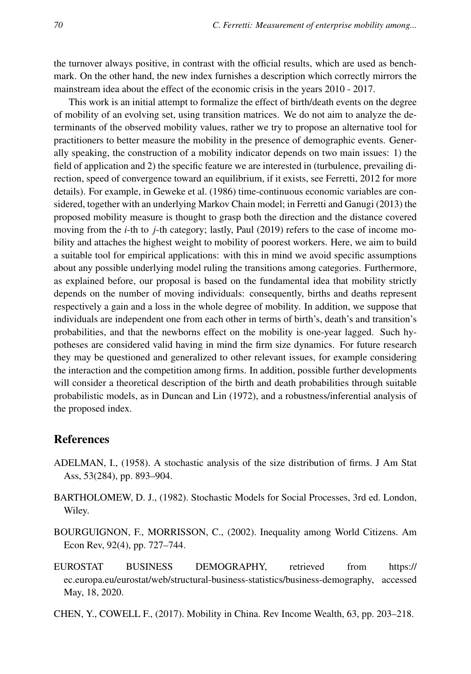the turnover always positive, in contrast with the official results, which are used as benchmark. On the other hand, the new index furnishes a description which correctly mirrors the mainstream idea about the effect of the economic crisis in the years 2010 - 2017.

This work is an initial attempt to formalize the effect of birth/death events on the degree of mobility of an evolving set, using transition matrices. We do not aim to analyze the determinants of the observed mobility values, rather we try to propose an alternative tool for practitioners to better measure the mobility in the presence of demographic events. Generally speaking, the construction of a mobility indicator depends on two main issues: 1) the field of application and 2) the specific feature we are interested in (turbulence, prevailing direction, speed of convergence toward an equilibrium, if it exists, see Ferretti, 2012 for more details). For example, in Geweke et al. (1986) time-continuous economic variables are considered, together with an underlying Markov Chain model; in Ferretti and Ganugi (2013) the proposed mobility measure is thought to grasp both the direction and the distance covered moving from the *i*-th to *j*-th category; lastly, Paul (2019) refers to the case of income mobility and attaches the highest weight to mobility of poorest workers. Here, we aim to build a suitable tool for empirical applications: with this in mind we avoid specific assumptions about any possible underlying model ruling the transitions among categories. Furthermore, as explained before, our proposal is based on the fundamental idea that mobility strictly depends on the number of moving individuals: consequently, births and deaths represent respectively a gain and a loss in the whole degree of mobility. In addition, we suppose that individuals are independent one from each other in terms of birth's, death's and transition's probabilities, and that the newborns effect on the mobility is one-year lagged. Such hypotheses are considered valid having in mind the firm size dynamics. For future research they may be questioned and generalized to other relevant issues, for example considering the interaction and the competition among firms. In addition, possible further developments will consider a theoretical description of the birth and death probabilities through suitable probabilistic models, as in Duncan and Lin (1972), and a robustness/inferential analysis of the proposed index.

# References

- ADELMAN, I., (1958). A stochastic analysis of the size distribution of firms. J Am Stat Ass, 53(284), pp. 893–904.
- BARTHOLOMEW, D. J., (1982). Stochastic Models for Social Processes, 3rd ed. London, Wiley.
- BOURGUIGNON, F., MORRISSON, C., (2002). Inequality among World Citizens. Am Econ Rev, 92(4), pp. 727–744.
- EUROSTAT BUSINESS DEMOGRAPHY, retrieved from https:// ec.europa.eu/eurostat/web/structural-business-statistics/business-demography, accessed May, 18, 2020.
- CHEN, Y., COWELL F., (2017). Mobility in China. Rev Income Wealth, 63, pp. 203–218.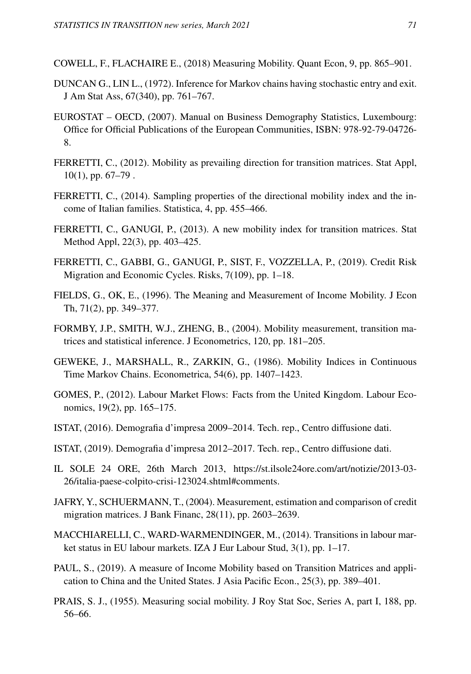COWELL, F., FLACHAIRE E., (2018) Measuring Mobility. Quant Econ, 9, pp. 865–901.

- DUNCAN G., LIN L., (1972). Inference for Markov chains having stochastic entry and exit. J Am Stat Ass, 67(340), pp. 761–767.
- EUROSTAT OECD, (2007). Manual on Business Demography Statistics, Luxembourg: Office for Official Publications of the European Communities, ISBN: 978-92-79-04726- 8.
- FERRETTI, C., (2012). Mobility as prevailing direction for transition matrices. Stat Appl,  $10(1)$ , pp.  $67-79$ .
- FERRETTI, C., (2014). Sampling properties of the directional mobility index and the income of Italian families. Statistica, 4, pp. 455–466.
- FERRETTI, C., GANUGI, P., (2013). A new mobility index for transition matrices. Stat Method Appl, 22(3), pp. 403–425.
- FERRETTI, C., GABBI, G., GANUGI, P., SIST, F., VOZZELLA, P., (2019). Credit Risk Migration and Economic Cycles. Risks, 7(109), pp. 1–18.
- FIELDS, G., OK, E., (1996). The Meaning and Measurement of Income Mobility. J Econ Th, 71(2), pp. 349–377.
- FORMBY, J.P., SMITH, W.J., ZHENG, B., (2004). Mobility measurement, transition matrices and statistical inference. J Econometrics, 120, pp. 181–205.
- GEWEKE, J., MARSHALL, R., ZARKIN, G., (1986). Mobility Indices in Continuous Time Markov Chains. Econometrica, 54(6), pp. 1407–1423.
- GOMES, P., (2012). Labour Market Flows: Facts from the United Kingdom. Labour Economics, 19(2), pp. 165–175.
- ISTAT, (2016). Demografia d'impresa 2009–2014. Tech. rep., Centro diffusione dati.
- ISTAT, (2019). Demografia d'impresa 2012–2017. Tech. rep., Centro diffusione dati.
- IL SOLE 24 ORE, 26th March 2013, https://st.ilsole24ore.com/art/notizie/2013-03- 26/italia-paese-colpito-crisi-123024.shtml#comments.
- JAFRY, Y., SCHUERMANN, T., (2004). Measurement, estimation and comparison of credit migration matrices. J Bank Financ, 28(11), pp. 2603–2639.
- MACCHIARELLI, C., WARD-WARMENDINGER, M., (2014). Transitions in labour market status in EU labour markets. IZA J Eur Labour Stud, 3(1), pp. 1–17.
- PAUL, S., (2019). A measure of Income Mobility based on Transition Matrices and application to China and the United States. J Asia Pacific Econ., 25(3), pp. 389–401.
- PRAIS, S. J., (1955). Measuring social mobility. J Roy Stat Soc, Series A, part I, 188, pp. 56–66.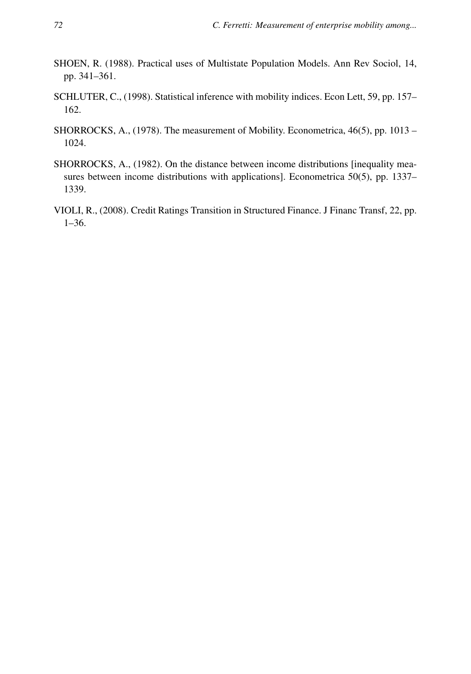- SHOEN, R. (1988). Practical uses of Multistate Population Models. Ann Rev Sociol, 14, pp. 341–361.
- SCHLUTER, C., (1998). Statistical inference with mobility indices. Econ Lett, 59, pp. 157– 162.
- SHORROCKS, A., (1978). The measurement of Mobility. Econometrica, 46(5), pp. 1013 1024.
- SHORROCKS, A., (1982). On the distance between income distributions [inequality measures between income distributions with applications]. Econometrica 50(5), pp. 1337– 1339.
- VIOLI, R., (2008). Credit Ratings Transition in Structured Finance. J Financ Transf, 22, pp. 1–36.